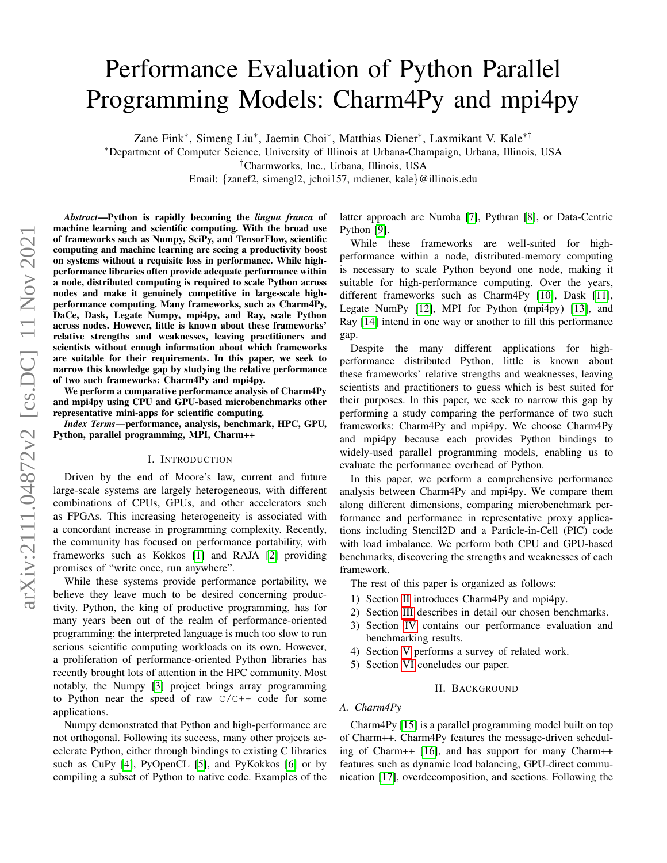# Performance Evaluation of Python Parallel Programming Models: Charm4Py and mpi4py

Zane Fink<sup>∗</sup> , Simeng Liu<sup>∗</sup> , Jaemin Choi<sup>∗</sup> , Matthias Diener<sup>∗</sup> , Laxmikant V. Kale∗†

<sup>∗</sup>Department of Computer Science, University of Illinois at Urbana-Champaign, Urbana, Illinois, USA

†Charmworks, Inc., Urbana, Illinois, USA

Email: {zanef2, simengl2, jchoi157, mdiener, kale}@illinois.edu

*Abstract*—Python is rapidly becoming the *lingua franca* of machine learning and scientific computing. With the broad use of frameworks such as Numpy, SciPy, and TensorFlow, scientific computing and machine learning are seeing a productivity boost on systems without a requisite loss in performance. While highperformance libraries often provide adequate performance within a node, distributed computing is required to scale Python across nodes and make it genuinely competitive in large-scale highperformance computing. Many frameworks, such as Charm4Py, DaCe, Dask, Legate Numpy, mpi4py, and Ray, scale Python across nodes. However, little is known about these frameworks' relative strengths and weaknesses, leaving practitioners and scientists without enough information about which frameworks are suitable for their requirements. In this paper, we seek to narrow this knowledge gap by studying the relative performance of two such frameworks: Charm4Py and mpi4py.

We perform a comparative performance analysis of Charm4Py and mpi4py using CPU and GPU-based microbenchmarks other representative mini-apps for scientific computing.

*Index Terms*—performance, analysis, benchmark, HPC, GPU, Python, parallel programming, MPI, Charm++

#### I. INTRODUCTION

Driven by the end of Moore's law, current and future large-scale systems are largely heterogeneous, with different combinations of CPUs, GPUs, and other accelerators such as FPGAs. This increasing heterogeneity is associated with a concordant increase in programming complexity. Recently, the community has focused on performance portability, with frameworks such as Kokkos [\[1\]](#page-4-0) and RAJA [\[2\]](#page-4-1) providing promises of "write once, run anywhere".

While these systems provide performance portability, we believe they leave much to be desired concerning productivity. Python, the king of productive programming, has for many years been out of the realm of performance-oriented programming: the interpreted language is much too slow to run serious scientific computing workloads on its own. However, a proliferation of performance-oriented Python libraries has recently brought lots of attention in the HPC community. Most notably, the Numpy [\[3\]](#page-4-2) project brings array programming to Python near the speed of raw  $C/C++$  code for some applications.

Numpy demonstrated that Python and high-performance are not orthogonal. Following its success, many other projects accelerate Python, either through bindings to existing C libraries such as CuPy [\[4\]](#page-5-0), PyOpenCL [\[5\]](#page-5-1), and PyKokkos [\[6\]](#page-5-2) or by compiling a subset of Python to native code. Examples of the latter approach are Numba [\[7\]](#page-5-3), Pythran [\[8\]](#page-5-4), or Data-Centric Python [\[9\]](#page-5-5).

While these frameworks are well-suited for highperformance within a node, distributed-memory computing is necessary to scale Python beyond one node, making it suitable for high-performance computing. Over the years, different frameworks such as Charm4Py [\[10\]](#page-5-6), Dask [\[11\]](#page-5-7), Legate NumPy [\[12\]](#page-5-8), MPI for Python (mpi4py) [\[13\]](#page-5-9), and Ray [\[14\]](#page-5-10) intend in one way or another to fill this performance gap.

Despite the many different applications for highperformance distributed Python, little is known about these frameworks' relative strengths and weaknesses, leaving scientists and practitioners to guess which is best suited for their purposes. In this paper, we seek to narrow this gap by performing a study comparing the performance of two such frameworks: Charm4Py and mpi4py. We choose Charm4Py and mpi4py because each provides Python bindings to widely-used parallel programming models, enabling us to evaluate the performance overhead of Python.

In this paper, we perform a comprehensive performance analysis between Charm4Py and mpi4py. We compare them along different dimensions, comparing microbenchmark performance and performance in representative proxy applications including Stencil2D and a Particle-in-Cell (PIC) code with load imbalance. We perform both CPU and GPU-based benchmarks, discovering the strengths and weaknesses of each framework.

The rest of this paper is organized as follows:

- 1) Section [II](#page-0-0) introduces Charm4Py and mpi4py.
- 2) Section [III](#page-1-0) describes in detail our chosen benchmarks.
- 3) Section [IV](#page-1-1) contains our performance evaluation and benchmarking results.
- 4) Section [V](#page-4-3) performs a survey of related work.
- 5) Section [VI](#page-4-4) concludes our paper.

#### II. BACKGROUND

### <span id="page-0-0"></span>*A. Charm4Py*

Charm4Py [\[15\]](#page-5-11) is a parallel programming model built on top of Charm++. Charm4Py features the message-driven scheduling of Charm++ [\[16\]](#page-5-12), and has support for many Charm++ features such as dynamic load balancing, GPU-direct communication [\[17\]](#page-5-13), overdecomposition, and sections. Following the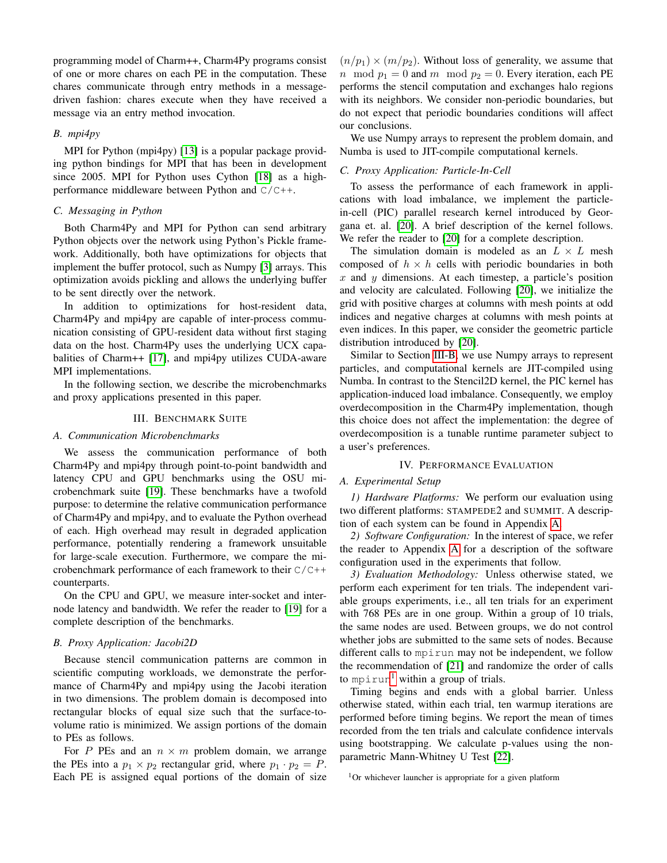programming model of Charm++, Charm4Py programs consist of one or more chares on each PE in the computation. These chares communicate through entry methods in a messagedriven fashion: chares execute when they have received a message via an entry method invocation.

### *B. mpi4py*

MPI for Python (mpi4py) [\[13\]](#page-5-9) is a popular package providing python bindings for MPI that has been in development since 2005. MPI for Python uses Cython [\[18\]](#page-5-14) as a highperformance middleware between Python and C/C++.

#### <span id="page-1-4"></span>*C. Messaging in Python*

Both Charm4Py and MPI for Python can send arbitrary Python objects over the network using Python's Pickle framework. Additionally, both have optimizations for objects that implement the buffer protocol, such as Numpy [\[3\]](#page-4-2) arrays. This optimization avoids pickling and allows the underlying buffer to be sent directly over the network.

In addition to optimizations for host-resident data, Charm4Py and mpi4py are capable of inter-process communication consisting of GPU-resident data without first staging data on the host. Charm4Py uses the underlying UCX capabalities of Charm++ [\[17\]](#page-5-13), and mpi4py utilizes CUDA-aware MPI implementations.

In the following section, we describe the microbenchmarks and proxy applications presented in this paper.

#### III. BENCHMARK SUITE

#### <span id="page-1-0"></span>*A. Communication Microbenchmarks*

We assess the communication performance of both Charm4Py and mpi4py through point-to-point bandwidth and latency CPU and GPU benchmarks using the OSU microbenchmark suite [\[19\]](#page-5-15). These benchmarks have a twofold purpose: to determine the relative communication performance of Charm4Py and mpi4py, and to evaluate the Python overhead of each. High overhead may result in degraded application performance, potentially rendering a framework unsuitable for large-scale execution. Furthermore, we compare the microbenchmark performance of each framework to their C/C++ counterparts.

On the CPU and GPU, we measure inter-socket and internode latency and bandwidth. We refer the reader to [\[19\]](#page-5-15) for a complete description of the benchmarks.

#### <span id="page-1-2"></span>*B. Proxy Application: Jacobi2D*

Because stencil communication patterns are common in scientific computing workloads, we demonstrate the performance of Charm4Py and mpi4py using the Jacobi iteration in two dimensions. The problem domain is decomposed into rectangular blocks of equal size such that the surface-tovolume ratio is minimized. We assign portions of the domain to PEs as follows.

For P PEs and an  $n \times m$  problem domain, we arrange the PEs into a  $p_1 \times p_2$  rectangular grid, where  $p_1 \cdot p_2 = P$ . Each PE is assigned equal portions of the domain of size

 $(n/p_1) \times (m/p_2)$ . Without loss of generality, we assume that n mod  $p_1 = 0$  and m mod  $p_2 = 0$ . Every iteration, each PE performs the stencil computation and exchanges halo regions with its neighbors. We consider non-periodic boundaries, but do not expect that periodic boundaries conditions will affect our conclusions.

We use Numpy arrays to represent the problem domain, and Numba is used to JIT-compile computational kernels.

# *C. Proxy Application: Particle-In-Cell*

To assess the performance of each framework in applications with load imbalance, we implement the particlein-cell (PIC) parallel research kernel introduced by Georgana et. al. [\[20\]](#page-5-16). A brief description of the kernel follows. We refer the reader to [\[20\]](#page-5-16) for a complete description.

The simulation domain is modeled as an  $L \times L$  mesh composed of  $h \times h$  cells with periodic boundaries in both  $x$  and  $y$  dimensions. At each timestep, a particle's position and velocity are calculated. Following [\[20\]](#page-5-16), we initialize the grid with positive charges at columns with mesh points at odd indices and negative charges at columns with mesh points at even indices. In this paper, we consider the geometric particle distribution introduced by [\[20\]](#page-5-16).

Similar to Section [III-B,](#page-1-2) we use Numpy arrays to represent particles, and computational kernels are JIT-compiled using Numba. In contrast to the Stencil2D kernel, the PIC kernel has application-induced load imbalance. Consequently, we employ overdecomposition in the Charm4Py implementation, though this choice does not affect the implementation: the degree of overdecomposition is a tunable runtime parameter subject to a user's preferences.

### IV. PERFORMANCE EVALUATION

## <span id="page-1-1"></span>*A. Experimental Setup*

*1) Hardware Platforms:* We perform our evaluation using two different platforms: STAMPEDE2 and SUMMIT. A description of each system can be found in Appendix [A.](#page-6-0)

*2) Software Configuration:* In the interest of space, we refer the reader to Appendix [A](#page-6-0) for a description of the software configuration used in the experiments that follow.

*3) Evaluation Methodology:* Unless otherwise stated, we perform each experiment for ten trials. The independent variable groups experiments, i.e., all ten trials for an experiment with 768 PEs are in one group. Within a group of 10 trials, the same nodes are used. Between groups, we do not control whether jobs are submitted to the same sets of nodes. Because different calls to mpirun may not be independent, we follow the recommendation of [\[21\]](#page-5-17) and randomize the order of calls to mpirun<sup>[1](#page-1-3)</sup> within a group of trials.

Timing begins and ends with a global barrier. Unless otherwise stated, within each trial, ten warmup iterations are performed before timing begins. We report the mean of times recorded from the ten trials and calculate confidence intervals using bootstrapping. We calculate p-values using the nonparametric Mann-Whitney U Test [\[22\]](#page-5-18).

<span id="page-1-3"></span><sup>&</sup>lt;sup>1</sup>Or whichever launcher is appropriate for a given platform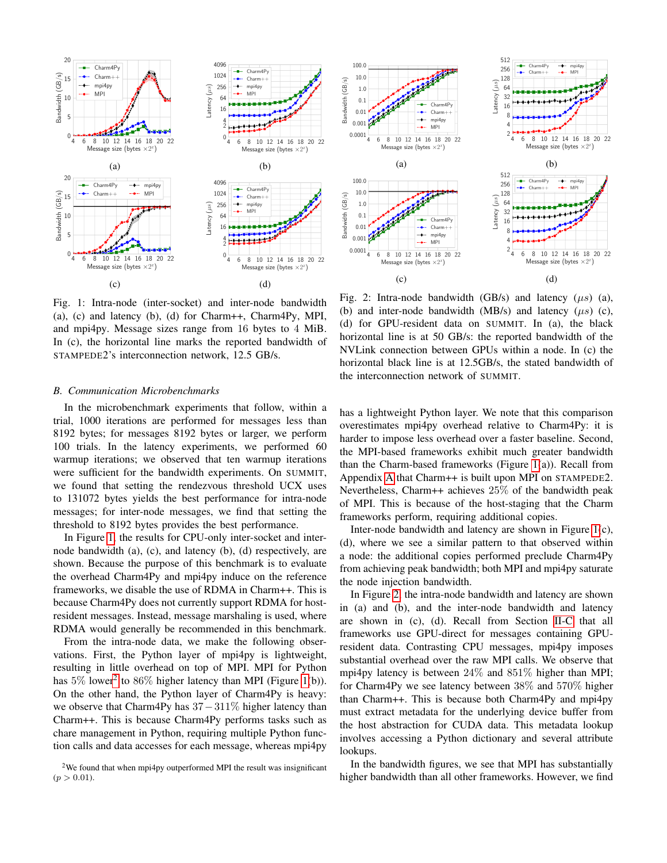<span id="page-2-0"></span>

Fig. 1: Intra-node (inter-socket) and inter-node bandwidth (a), (c) and latency (b), (d) for Charm++, Charm4Py, MPI, and mpi4py. Message sizes range from 16 bytes to 4 MiB. In (c), the horizontal line marks the reported bandwidth of STAMPEDE2's interconnection network, 12.5 GB/s.

#### <span id="page-2-3"></span>*B. Communication Microbenchmarks*

In the microbenchmark experiments that follow, within a trial, 1000 iterations are performed for messages less than 8192 bytes; for messages 8192 bytes or larger, we perform 100 trials. In the latency experiments, we performed 60 warmup iterations; we observed that ten warmup iterations were sufficient for the bandwidth experiments. On SUMMIT, we found that setting the rendezvous threshold UCX uses to 131072 bytes yields the best performance for intra-node messages; for inter-node messages, we find that setting the threshold to 8192 bytes provides the best performance.

In Figure [1,](#page-2-0) the results for CPU-only inter-socket and internode bandwidth (a), (c), and latency (b), (d) respectively, are shown. Because the purpose of this benchmark is to evaluate the overhead Charm4Py and mpi4py induce on the reference frameworks, we disable the use of RDMA in Charm++. This is because Charm4Py does not currently support RDMA for hostresident messages. Instead, message marshaling is used, where RDMA would generally be recommended in this benchmark.

From the intra-node data, we make the following observations. First, the Python layer of mpi4py is lightweight, resulting in little overhead on top of MPI. MPI for Python has  $5\%$  lower<sup>[2](#page-2-1)</sup> to  $86\%$  higher latency than MPI (Figure [1\(](#page-2-0)b)). On the other hand, the Python layer of Charm4Py is heavy: we observe that Charm4Py has  $37-311\%$  higher latency than Charm++. This is because Charm4Py performs tasks such as chare management in Python, requiring multiple Python function calls and data accesses for each message, whereas mpi4py

<span id="page-2-2"></span>

Fig. 2: Intra-node bandwidth (GB/s) and latency  $(\mu s)$  (a), (b) and inter-node bandwidth (MB/s) and latency  $(\mu s)$  (c), (d) for GPU-resident data on SUMMIT. In (a), the black horizontal line is at 50 GB/s: the reported bandwidth of the NVLink connection between GPUs within a node. In (c) the horizontal black line is at 12.5GB/s, the stated bandwidth of the interconnection network of SUMMIT.

has a lightweight Python layer. We note that this comparison overestimates mpi4py overhead relative to Charm4Py: it is harder to impose less overhead over a faster baseline. Second, the MPI-based frameworks exhibit much greater bandwidth than the Charm-based frameworks (Figure [1\(](#page-2-0)a)). Recall from Appendix [A](#page-6-0) that Charm++ is built upon MPI on STAMPEDE2. Nevertheless, Charm++ achieves 25% of the bandwidth peak of MPI. This is because of the host-staging that the Charm frameworks perform, requiring additional copies.

Inter-node bandwidth and latency are shown in Figure [1\(](#page-2-0)c), (d), where we see a similar pattern to that observed within a node: the additional copies performed preclude Charm4Py from achieving peak bandwidth; both MPI and mpi4py saturate the node injection bandwidth.

In Figure [2,](#page-2-2) the intra-node bandwidth and latency are shown in (a) and (b), and the inter-node bandwidth and latency are shown in (c), (d). Recall from Section [II-C](#page-1-4) that all frameworks use GPU-direct for messages containing GPUresident data. Contrasting CPU messages, mpi4py imposes substantial overhead over the raw MPI calls. We observe that mpi4py latency is between 24% and 851% higher than MPI; for Charm4Py we see latency between 38% and 570% higher than Charm++. This is because both Charm4Py and mpi4py must extract metadata for the underlying device buffer from the host abstraction for CUDA data. This metadata lookup involves accessing a Python dictionary and several attribute lookups.

In the bandwidth figures, we see that MPI has substantially higher bandwidth than all other frameworks. However, we find

<span id="page-2-1"></span><sup>&</sup>lt;sup>2</sup>We found that when mpi4py outperformed MPI the result was insignificant  $(p > 0.01)$ .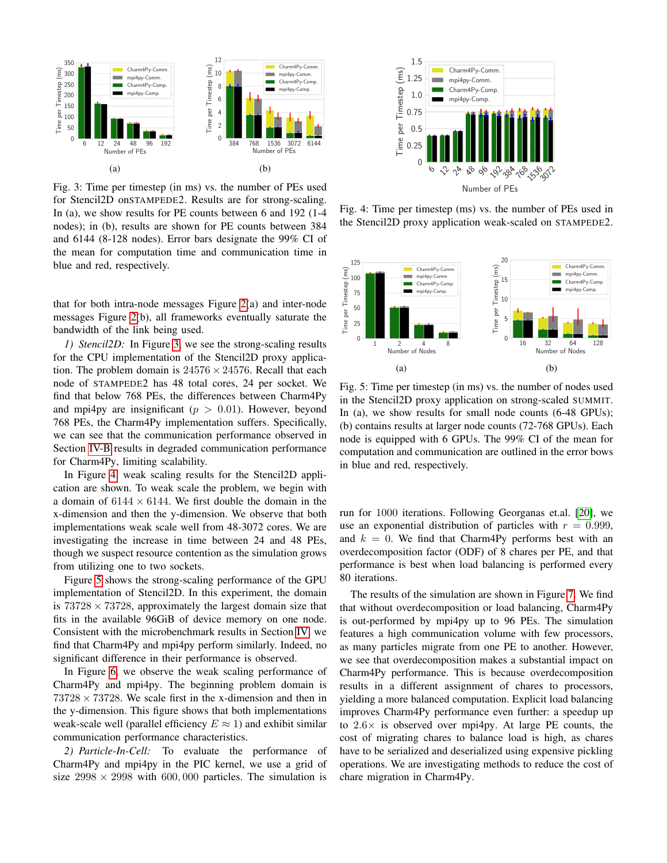<span id="page-3-0"></span>

Fig. 3: Time per timestep (in ms) vs. the number of PEs used for Stencil2D onSTAMPEDE2. Results are for strong-scaling. In (a), we show results for PE counts between 6 and 192 (1-4 nodes); in (b), results are shown for PE counts between 384 and 6144 (8-128 nodes). Error bars designate the 99% CI of the mean for computation time and communication time in blue and red, respectively.

that for both intra-node messages Figure [2\(](#page-2-2)a) and inter-node messages Figure [2\(](#page-2-2)b), all frameworks eventually saturate the bandwidth of the link being used.

*1) Stencil2D:* In Figure [3,](#page-3-0) we see the strong-scaling results for the CPU implementation of the Stencil2D proxy application. The problem domain is  $24576 \times 24576$ . Recall that each node of STAMPEDE2 has 48 total cores, 24 per socket. We find that below 768 PEs, the differences between Charm4Py and mpi4py are insignificant ( $p > 0.01$ ). However, beyond 768 PEs, the Charm4Py implementation suffers. Specifically, we can see that the communication performance observed in Section [IV-B](#page-2-3) results in degraded communication performance for Charm4Py, limiting scalability.

In Figure [4,](#page-3-1) weak scaling results for the Stencil2D application are shown. To weak scale the problem, we begin with a domain of  $6144 \times 6144$ . We first double the domain in the x-dimension and then the y-dimension. We observe that both implementations weak scale well from 48-3072 cores. We are investigating the increase in time between 24 and 48 PEs, though we suspect resource contention as the simulation grows from utilizing one to two sockets.

Figure [5](#page-3-2) shows the strong-scaling performance of the GPU implementation of Stencil2D. In this experiment, the domain is  $73728 \times 73728$ , approximately the largest domain size that fits in the available 96GiB of device memory on one node. Consistent with the microbenchmark results in Section [IV,](#page-1-1) we find that Charm4Py and mpi4py perform similarly. Indeed, no significant difference in their performance is observed.

In Figure [6,](#page-4-5) we observe the weak scaling performance of Charm4Py and mpi4py. The beginning problem domain is  $73728 \times 73728$ . We scale first in the x-dimension and then in the y-dimension. This figure shows that both implementations weak-scale well (parallel efficiency  $E \approx 1$ ) and exhibit similar communication performance characteristics.

*2) Particle-In-Cell:* To evaluate the performance of Charm4Py and mpi4py in the PIC kernel, we use a grid of size  $2998 \times 2998$  with 600,000 particles. The simulation is

<span id="page-3-1"></span>

Fig. 4: Time per timestep (ms) vs. the number of PEs used in the Stencil2D proxy application weak-scaled on STAMPEDE2.

<span id="page-3-2"></span>

Fig. 5: Time per timestep (in ms) vs. the number of nodes used in the Stencil2D proxy application on strong-scaled SUMMIT. In (a), we show results for small node counts (6-48 GPUs); (b) contains results at larger node counts (72-768 GPUs). Each node is equipped with 6 GPUs. The 99% CI of the mean for computation and communication are outlined in the error bows in blue and red, respectively.

run for 1000 iterations. Following Georganas et.al. [\[20\]](#page-5-16), we use an exponential distribution of particles with  $r = 0.999$ , and  $k = 0$ . We find that Charm4Py performs best with an overdecomposition factor (ODF) of 8 chares per PE, and that performance is best when load balancing is performed every 80 iterations.

The results of the simulation are shown in Figure [7.](#page-4-6) We find that without overdecomposition or load balancing, Charm4Py is out-performed by mpi4py up to 96 PEs. The simulation features a high communication volume with few processors, as many particles migrate from one PE to another. However, we see that overdecomposition makes a substantial impact on Charm4Py performance. This is because overdecomposition results in a different assignment of chares to processors, yielding a more balanced computation. Explicit load balancing improves Charm4Py performance even further: a speedup up to  $2.6\times$  is observed over mpi4py. At large PE counts, the cost of migrating chares to balance load is high, as chares have to be serialized and deserialized using expensive pickling operations. We are investigating methods to reduce the cost of chare migration in Charm4Py.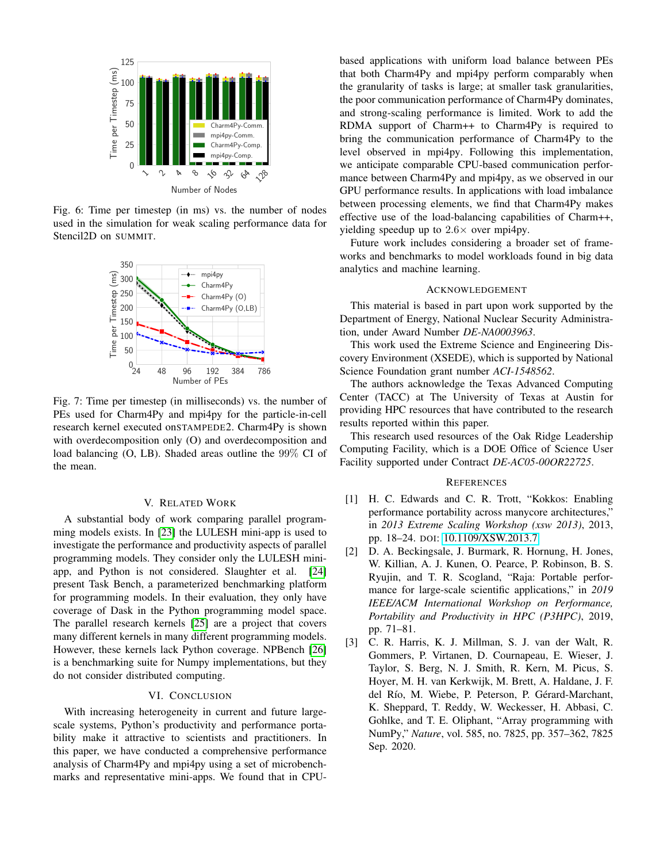<span id="page-4-5"></span>

Fig. 6: Time per timestep (in ms) vs. the number of nodes used in the simulation for weak scaling performance data for Stencil2D on SUMMIT.

<span id="page-4-6"></span>

Fig. 7: Time per timestep (in milliseconds) vs. the number of PEs used for Charm4Py and mpi4py for the particle-in-cell research kernel executed onSTAMPEDE2. Charm4Py is shown with overdecomposition only (O) and overdecomposition and load balancing (O, LB). Shaded areas outline the 99% CI of the mean.

#### V. RELATED WORK

<span id="page-4-3"></span>A substantial body of work comparing parallel programming models exists. In [\[23\]](#page-5-19) the LULESH mini-app is used to investigate the performance and productivity aspects of parallel programming models. They consider only the LULESH miniapp, and Python is not considered. Slaughter et al. [\[24\]](#page-5-20) present Task Bench, a parameterized benchmarking platform for programming models. In their evaluation, they only have coverage of Dask in the Python programming model space. The parallel research kernels [\[25\]](#page-5-21) are a project that covers many different kernels in many different programming models. However, these kernels lack Python coverage. NPBench [\[26\]](#page-5-22) is a benchmarking suite for Numpy implementations, but they do not consider distributed computing.

## VI. CONCLUSION

<span id="page-4-4"></span>With increasing heterogeneity in current and future largescale systems, Python's productivity and performance portability make it attractive to scientists and practitioners. In this paper, we have conducted a comprehensive performance analysis of Charm4Py and mpi4py using a set of microbenchmarks and representative mini-apps. We found that in CPU- based applications with uniform load balance between PEs that both Charm4Py and mpi4py perform comparably when the granularity of tasks is large; at smaller task granularities, the poor communication performance of Charm4Py dominates, and strong-scaling performance is limited. Work to add the RDMA support of Charm++ to Charm4Py is required to bring the communication performance of Charm4Py to the level observed in mpi4py. Following this implementation, we anticipate comparable CPU-based communication performance between Charm4Py and mpi4py, as we observed in our GPU performance results. In applications with load imbalance between processing elements, we find that Charm4Py makes effective use of the load-balancing capabilities of Charm++, yielding speedup up to  $2.6 \times$  over mpi4py.

Future work includes considering a broader set of frameworks and benchmarks to model workloads found in big data analytics and machine learning.

#### ACKNOWLEDGEMENT

This material is based in part upon work supported by the Department of Energy, National Nuclear Security Administration, under Award Number *DE-NA0003963*.

This work used the Extreme Science and Engineering Discovery Environment (XSEDE), which is supported by National Science Foundation grant number *ACI-1548562*.

The authors acknowledge the Texas Advanced Computing Center (TACC) at The University of Texas at Austin for providing HPC resources that have contributed to the research results reported within this paper.

This research used resources of the Oak Ridge Leadership Computing Facility, which is a DOE Office of Science User Facility supported under Contract *DE-AC05-00OR22725*.

#### **REFERENCES**

- <span id="page-4-0"></span>[1] H. C. Edwards and C. R. Trott, "Kokkos: Enabling performance portability across manycore architectures," in *2013 Extreme Scaling Workshop (xsw 2013)*, 2013, pp. 18–24. DOI: [10.1109/XSW.2013.7.](https://doi.org/10.1109/XSW.2013.7)
- <span id="page-4-1"></span>[2] D. A. Beckingsale, J. Burmark, R. Hornung, H. Jones, W. Killian, A. J. Kunen, O. Pearce, P. Robinson, B. S. Ryujin, and T. R. Scogland, "Raja: Portable performance for large-scale scientific applications," in *2019 IEEE/ACM International Workshop on Performance, Portability and Productivity in HPC (P3HPC)*, 2019, pp. 71–81.
- <span id="page-4-2"></span>[3] C. R. Harris, K. J. Millman, S. J. van der Walt, R. Gommers, P. Virtanen, D. Cournapeau, E. Wieser, J. Taylor, S. Berg, N. J. Smith, R. Kern, M. Picus, S. Hoyer, M. H. van Kerkwijk, M. Brett, A. Haldane, J. F. del Río, M. Wiebe, P. Peterson, P. Gérard-Marchant, K. Sheppard, T. Reddy, W. Weckesser, H. Abbasi, C. Gohlke, and T. E. Oliphant, "Array programming with NumPy," *Nature*, vol. 585, no. 7825, pp. 357–362, 7825 Sep. 2020.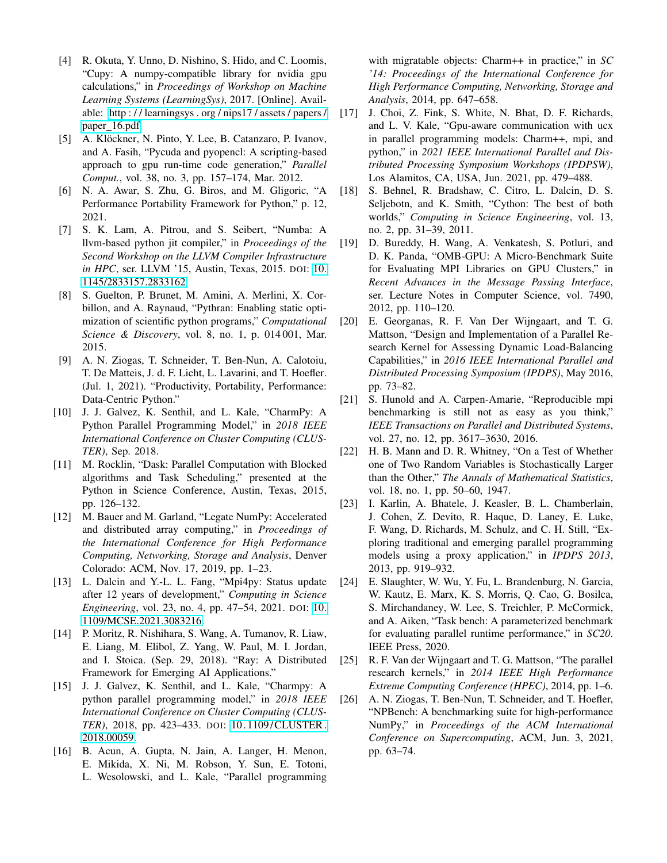- <span id="page-5-0"></span>[4] R. Okuta, Y. Unno, D. Nishino, S. Hido, and C. Loomis, "Cupy: A numpy-compatible library for nvidia gpu calculations," in *Proceedings of Workshop on Machine Learning Systems (LearningSys)*, 2017. [Online]. Available: [http : / / learningsys . org / nips17 / assets / papers /](http://learningsys.org/nips17/assets/papers/paper_16.pdf) paper\_[16.pdf.](http://learningsys.org/nips17/assets/papers/paper_16.pdf)
- <span id="page-5-1"></span>[5] A. Klöckner, N. Pinto, Y. Lee, B. Catanzaro, P. Ivanov, and A. Fasih, "Pycuda and pyopencl: A scripting-based approach to gpu run-time code generation," *Parallel Comput.*, vol. 38, no. 3, pp. 157–174, Mar. 2012.
- <span id="page-5-2"></span>[6] N. A. Awar, S. Zhu, G. Biros, and M. Gligoric, "A Performance Portability Framework for Python," p. 12, 2021.
- <span id="page-5-3"></span>[7] S. K. Lam, A. Pitrou, and S. Seibert, "Numba: A llvm-based python jit compiler," in *Proceedings of the Second Workshop on the LLVM Compiler Infrastructure in HPC*, ser. LLVM '15, Austin, Texas, 2015. DOI: [10.](https://doi.org/10.1145/2833157.2833162) [1145/2833157.2833162.](https://doi.org/10.1145/2833157.2833162)
- <span id="page-5-4"></span>[8] S. Guelton, P. Brunet, M. Amini, A. Merlini, X. Corbillon, and A. Raynaud, "Pythran: Enabling static optimization of scientific python programs," *Computational Science & Discovery*, vol. 8, no. 1, p. 014 001, Mar. 2015.
- <span id="page-5-5"></span>[9] A. N. Ziogas, T. Schneider, T. Ben-Nun, A. Calotoiu, T. De Matteis, J. d. F. Licht, L. Lavarini, and T. Hoefler. (Jul. 1, 2021). "Productivity, Portability, Performance: Data-Centric Python."
- <span id="page-5-6"></span>[10] J. J. Galvez, K. Senthil, and L. Kale, "CharmPy: A Python Parallel Programming Model," in *2018 IEEE International Conference on Cluster Computing (CLUS-TER)*, Sep. 2018.
- <span id="page-5-7"></span>[11] M. Rocklin, "Dask: Parallel Computation with Blocked algorithms and Task Scheduling," presented at the Python in Science Conference, Austin, Texas, 2015, pp. 126–132.
- <span id="page-5-8"></span>[12] M. Bauer and M. Garland, "Legate NumPy: Accelerated and distributed array computing," in *Proceedings of the International Conference for High Performance Computing, Networking, Storage and Analysis*, Denver Colorado: ACM, Nov. 17, 2019, pp. 1–23.
- <span id="page-5-9"></span>[13] L. Dalcin and Y.-L. L. Fang, "Mpi4py: Status update after 12 years of development," *Computing in Science Engineering*, vol. 23, no. 4, pp. 47–54, 2021. DOI: [10.](https://doi.org/10.1109/MCSE.2021.3083216) [1109/MCSE.2021.3083216.](https://doi.org/10.1109/MCSE.2021.3083216)
- <span id="page-5-10"></span>[14] P. Moritz, R. Nishihara, S. Wang, A. Tumanov, R. Liaw, E. Liang, M. Elibol, Z. Yang, W. Paul, M. I. Jordan, and I. Stoica. (Sep. 29, 2018). "Ray: A Distributed Framework for Emerging AI Applications."
- <span id="page-5-11"></span>[15] J. J. Galvez, K. Senthil, and L. Kale, "Charmpy: A python parallel programming model," in *2018 IEEE International Conference on Cluster Computing (CLUS-TER)*, 2018, pp. 423–433. DOI: [10. 1109/CLUSTER.](https://doi.org/10.1109/CLUSTER.2018.00059) [2018.00059.](https://doi.org/10.1109/CLUSTER.2018.00059)
- <span id="page-5-12"></span>[16] B. Acun, A. Gupta, N. Jain, A. Langer, H. Menon, E. Mikida, X. Ni, M. Robson, Y. Sun, E. Totoni, L. Wesolowski, and L. Kale, "Parallel programming

with migratable objects: Charm++ in practice," in *SC '14: Proceedings of the International Conference for High Performance Computing, Networking, Storage and Analysis*, 2014, pp. 647–658.

- <span id="page-5-13"></span>[17] J. Choi, Z. Fink, S. White, N. Bhat, D. F. Richards, and L. V. Kale, "Gpu-aware communication with ucx in parallel programming models: Charm++, mpi, and python," in *2021 IEEE International Parallel and Distributed Processing Symposium Workshops (IPDPSW)*, Los Alamitos, CA, USA, Jun. 2021, pp. 479–488.
- <span id="page-5-14"></span>[18] S. Behnel, R. Bradshaw, C. Citro, L. Dalcin, D. S. Seljebotn, and K. Smith, "Cython: The best of both worlds," *Computing in Science Engineering*, vol. 13, no. 2, pp. 31–39, 2011.
- <span id="page-5-15"></span>[19] D. Bureddy, H. Wang, A. Venkatesh, S. Potluri, and D. K. Panda, "OMB-GPU: A Micro-Benchmark Suite for Evaluating MPI Libraries on GPU Clusters," in *Recent Advances in the Message Passing Interface*, ser. Lecture Notes in Computer Science, vol. 7490, 2012, pp. 110–120.
- <span id="page-5-16"></span>[20] E. Georganas, R. F. Van Der Wijngaart, and T. G. Mattson, "Design and Implementation of a Parallel Research Kernel for Assessing Dynamic Load-Balancing Capabilities," in *2016 IEEE International Parallel and Distributed Processing Symposium (IPDPS)*, May 2016, pp. 73–82.
- <span id="page-5-17"></span>[21] S. Hunold and A. Carpen-Amarie, "Reproducible mpi benchmarking is still not as easy as you think," *IEEE Transactions on Parallel and Distributed Systems*, vol. 27, no. 12, pp. 3617–3630, 2016.
- <span id="page-5-18"></span>[22] H. B. Mann and D. R. Whitney, "On a Test of Whether one of Two Random Variables is Stochastically Larger than the Other," *The Annals of Mathematical Statistics*, vol. 18, no. 1, pp. 50–60, 1947.
- <span id="page-5-19"></span>[23] I. Karlin, A. Bhatele, J. Keasler, B. L. Chamberlain, J. Cohen, Z. Devito, R. Haque, D. Laney, E. Luke, F. Wang, D. Richards, M. Schulz, and C. H. Still, "Exploring traditional and emerging parallel programming models using a proxy application," in *IPDPS 2013*, 2013, pp. 919–932.
- <span id="page-5-20"></span>[24] E. Slaughter, W. Wu, Y. Fu, L. Brandenburg, N. Garcia, W. Kautz, E. Marx, K. S. Morris, Q. Cao, G. Bosilca, S. Mirchandaney, W. Lee, S. Treichler, P. McCormick, and A. Aiken, "Task bench: A parameterized benchmark for evaluating parallel runtime performance," in *SC20*. IEEE Press, 2020.
- <span id="page-5-21"></span>[25] R. F. Van der Wijngaart and T. G. Mattson, "The parallel research kernels," in *2014 IEEE High Performance Extreme Computing Conference (HPEC)*, 2014, pp. 1–6.
- <span id="page-5-22"></span>[26] A. N. Ziogas, T. Ben-Nun, T. Schneider, and T. Hoefler, "NPBench: A benchmarking suite for high-performance NumPy," in *Proceedings of the ACM International Conference on Supercomputing*, ACM, Jun. 3, 2021, pp. 63–74.